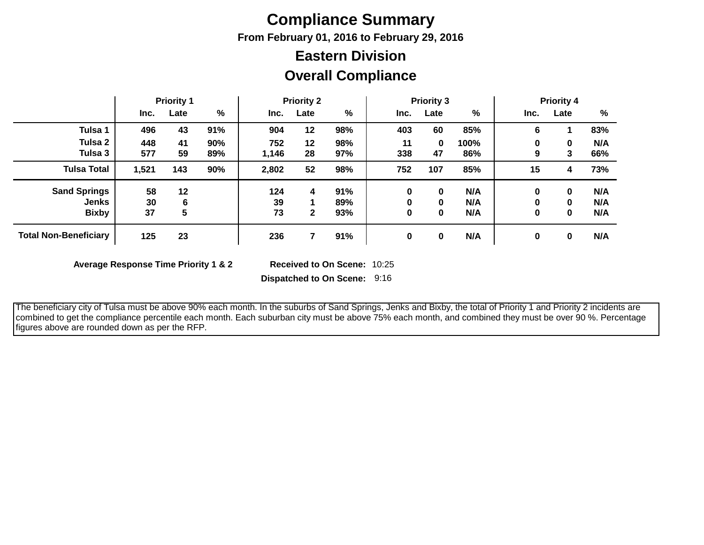# **Compliance Summary**

**From February 01, 2016 to February 29, 2016**

## **Eastern Division**

### **Overall Compliance**

|                              | <b>Priority 1</b> |      | <b>Priority 2</b> |       |              | <b>Priority 3</b> |             |          | <b>Priority 4</b> |      |             |     |
|------------------------------|-------------------|------|-------------------|-------|--------------|-------------------|-------------|----------|-------------------|------|-------------|-----|
|                              | Inc.              | Late | %                 | Inc.  | Late         | %                 | Inc.        | Late     | %                 | Inc. | Late        | %   |
| Tulsa 1                      | 496               | 43   | 91%               | 904   | 12           | 98%               | 403         | 60       | 85%               | 6    |             | 83% |
| Tulsa 2                      | 448               | 41   | 90%               | 752   | 12           | 98%               | 11          | $\bf{0}$ | 100%              | 0    | $\mathbf 0$ | N/A |
| Tulsa 3                      | 577               | 59   | 89%               | 1,146 | 28           | 97%               | 338         | 47       | 86%               | 9    | 3           | 66% |
| <b>Tulsa Total</b>           | 1,521             | 143  | 90%               | 2,802 | 52           | 98%               | 752         | 107      | 85%               | 15   | 4           | 73% |
| <b>Sand Springs</b>          | 58                | 12   |                   | 124   | 4            | 91%               | 0           | 0        | N/A               | 0    | 0           | N/A |
| <b>Jenks</b>                 | 30                | 6    |                   | 39    |              | 89%               | 0           | 0        | N/A               | 0    | $\mathbf 0$ | N/A |
| <b>Bixby</b>                 | 37                | 5    |                   | 73    | $\mathbf{2}$ | 93%               | 0           | 0        | N/A               | 0    | 0           | N/A |
| <b>Total Non-Beneficiary</b> | 125               | 23   |                   | 236   |              | 91%               | $\mathbf 0$ | 0        | N/A               | 0    | 0           | N/A |

**Average Response Time Priority 1 & 2** 

Received to On Scene: 10:25

**Dispatched to On Scene:** 9:16

 The beneficiary city of Tulsa must be above 90% each month. In the suburbs of Sand Springs, Jenks and Bixby, the total of Priority 1 and Priority 2 incidents are combined to get the compliance percentile each month. Each suburban city must be above 75% each month, and combined they must be over 90 %. Percentage figures above are rounded down as per the RFP.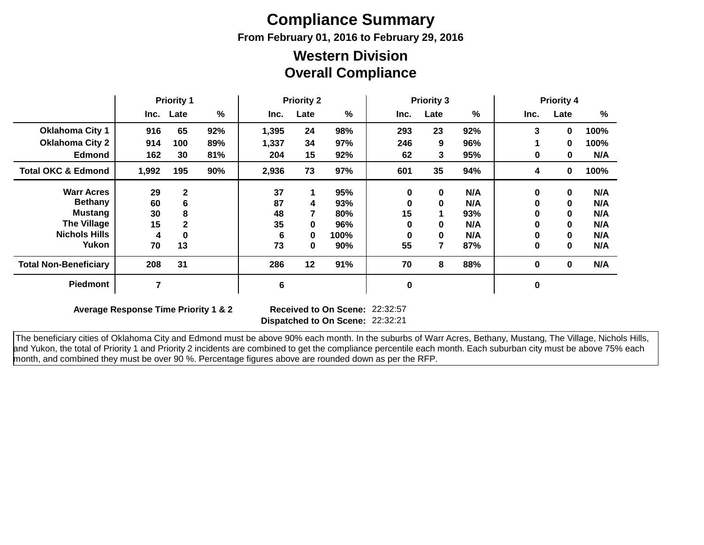# **Compliance Summary**

**From February 01, 2016 to February 29, 2016**

#### **Overall Compliance Western Division**

|                               | <b>Priority 1</b> |              | <b>Priority 2</b> |       |      | <b>Priority 3</b> |             |      | <b>Priority 4</b> |      |              |      |
|-------------------------------|-------------------|--------------|-------------------|-------|------|-------------------|-------------|------|-------------------|------|--------------|------|
|                               |                   | Inc. Late    | %                 | Inc.  | Late | $\frac{9}{6}$     | Inc.        | Late | %                 | Inc. | Late         | %    |
| <b>Oklahoma City 1</b>        | 916               | 65           | 92%               | 1,395 | 24   | 98%               | 293         | 23   | 92%               | 3    | 0            | 100% |
| <b>Oklahoma City 2</b>        | 914               | 100          | 89%               | 1,337 | 34   | 97%               | 246         | 9    | 96%               |      | 0            | 100% |
| <b>Edmond</b>                 | 162               | 30           | 81%               | 204   | 15   | 92%               | 62          | 3    | 95%               | 0    | 0            | N/A  |
| <b>Total OKC &amp; Edmond</b> | 1,992             | 195          | 90%               | 2,936 | 73   | 97%               | 601         | 35   | 94%               | 4    | 0            | 100% |
| <b>Warr Acres</b>             | 29                | $\mathbf{2}$ |                   | 37    |      | 95%               | $\bf{0}$    | 0    | N/A               | 0    | $\mathbf{0}$ | N/A  |
| <b>Bethany</b>                | 60                | 6            |                   | 87    | 4    | 93%               |             |      | N/A               | 0    | 0            | N/A  |
| Mustang                       | 30                | 8            |                   | 48    | 7    | 80%               | 15          |      | 93%               | 0    | 0            | N/A  |
| <b>The Village</b>            | 15                | $\mathbf{2}$ |                   | 35    | 0    | 96%               | O           | 0    | N/A               | 0    | 0            | N/A  |
| <b>Nichols Hills</b>          | 4                 | $\bf{0}$     |                   | 6     | 0    | 100%              | O           |      | N/A               | 0    | 0            | N/A  |
| Yukon                         | 70                | 13           |                   | 73    | 0    | 90%               | 55          | 7    | 87%               | 0    | 0            | N/A  |
| <b>Total Non-Beneficiary</b>  | 208               | 31           |                   | 286   | 12   | 91%               | 70          | 8    | 88%               | 0    | $\mathbf 0$  | N/A  |
| <b>Piedmont</b>               | 7                 |              |                   | 6     |      |                   | $\mathbf 0$ |      |                   | 0    |              |      |

**Average Response Time Priority 1 & 2** 

**Dispatched to On Scene:** 22:32:21 Received to On Scene: 22:32:57

 The beneficiary cities of Oklahoma City and Edmond must be above 90% each month. In the suburbs of Warr Acres, Bethany, Mustang, The Village, Nichols Hills, and Yukon, the total of Priority 1 and Priority 2 incidents are combined to get the compliance percentile each month. Each suburban city must be above 75% each month, and combined they must be over 90 %. Percentage figures above are rounded down as per the RFP.